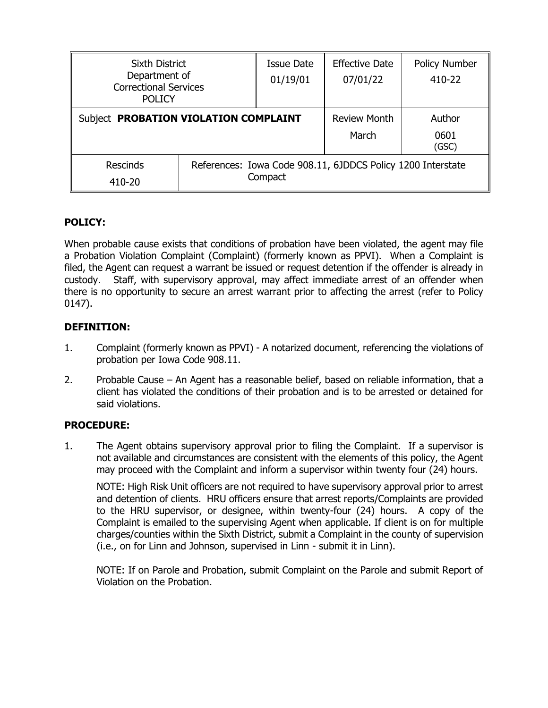| <b>Sixth District</b><br>Department of<br><b>Correctional Services</b><br><b>POLICY</b> |                                                             | Issue Date<br>01/19/01 | <b>Effective Date</b><br>07/01/22 | <b>Policy Number</b><br>410-22 |
|-----------------------------------------------------------------------------------------|-------------------------------------------------------------|------------------------|-----------------------------------|--------------------------------|
| Subject PROBATION VIOLATION COMPLAINT                                                   |                                                             |                        | <b>Review Month</b>               | Author                         |
|                                                                                         |                                                             |                        | March                             | 0601<br>(GSC)                  |
| <b>Rescinds</b>                                                                         | References: Iowa Code 908.11, 6JDDCS Policy 1200 Interstate |                        |                                   |                                |
| 410-20                                                                                  |                                                             | Compact                |                                   |                                |

# **POLICY:**

When probable cause exists that conditions of probation have been violated, the agent may file a Probation Violation Complaint (Complaint) (formerly known as PPVI). When a Complaint is filed, the Agent can request a warrant be issued or request detention if the offender is already in custody. Staff, with supervisory approval, may affect immediate arrest of an offender when there is no opportunity to secure an arrest warrant prior to affecting the arrest (refer to Policy 0147).

## **DEFINITION:**

- 1. Complaint (formerly known as PPVI) A notarized document, referencing the violations of probation per Iowa Code 908.11.
- 2. Probable Cause An Agent has a reasonable belief, based on reliable information, that a client has violated the conditions of their probation and is to be arrested or detained for said violations.

## **PROCEDURE:**

1. The Agent obtains supervisory approval prior to filing the Complaint. If a supervisor is not available and circumstances are consistent with the elements of this policy, the Agent may proceed with the Complaint and inform a supervisor within twenty four (24) hours.

NOTE: High Risk Unit officers are not required to have supervisory approval prior to arrest and detention of clients. HRU officers ensure that arrest reports/Complaints are provided to the HRU supervisor, or designee, within twenty-four (24) hours. A copy of the Complaint is emailed to the supervising Agent when applicable. If client is on for multiple charges/counties within the Sixth District, submit a Complaint in the county of supervision (i.e., on for Linn and Johnson, supervised in Linn - submit it in Linn).

NOTE: If on Parole and Probation, submit Complaint on the Parole and submit Report of Violation on the Probation.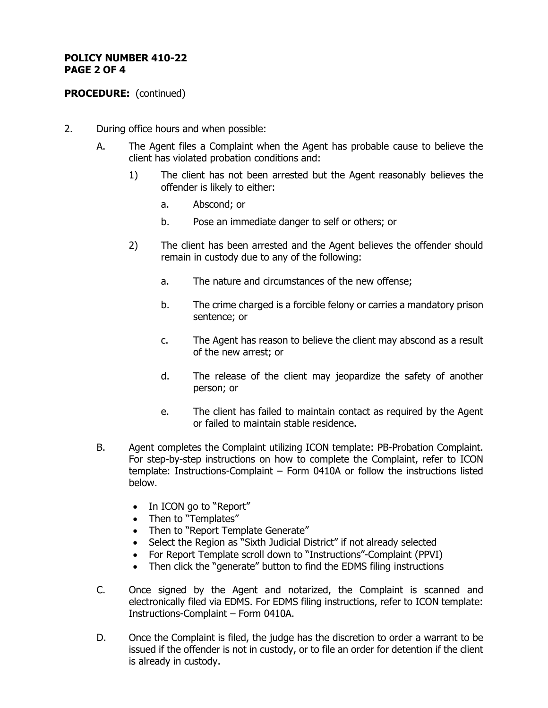### **POLICY NUMBER 410-22 PAGE 2 OF 4**

# **PROCEDURE:** (continued)

- 2. During office hours and when possible:
	- A. The Agent files a Complaint when the Agent has probable cause to believe the client has violated probation conditions and:
		- 1) The client has not been arrested but the Agent reasonably believes the offender is likely to either:
			- a. Abscond; or
			- b. Pose an immediate danger to self or others; or
		- 2) The client has been arrested and the Agent believes the offender should remain in custody due to any of the following:
			- a. The nature and circumstances of the new offense;
			- b. The crime charged is a forcible felony or carries a mandatory prison sentence; or
			- c. The Agent has reason to believe the client may abscond as a result of the new arrest; or
			- d. The release of the client may jeopardize the safety of another person; or
			- e. The client has failed to maintain contact as required by the Agent or failed to maintain stable residence.
	- B. Agent completes the Complaint utilizing ICON template: PB-Probation Complaint. For step-by-step instructions on how to complete the Complaint, refer to ICON template: Instructions-Complaint – Form 0410A or follow the instructions listed below.
		- In ICON go to "Report"
		- Then to "Templates"
		- Then to "Report Template Generate"
		- Select the Region as "Sixth Judicial District" if not already selected
		- For Report Template scroll down to "Instructions"-Complaint (PPVI)
		- Then click the "generate" button to find the EDMS filing instructions
	- C. Once signed by the Agent and notarized, the Complaint is scanned and electronically filed via EDMS. For EDMS filing instructions, refer to ICON template: Instructions-Complaint – Form 0410A.
	- D. Once the Complaint is filed, the judge has the discretion to order a warrant to be issued if the offender is not in custody, or to file an order for detention if the client is already in custody.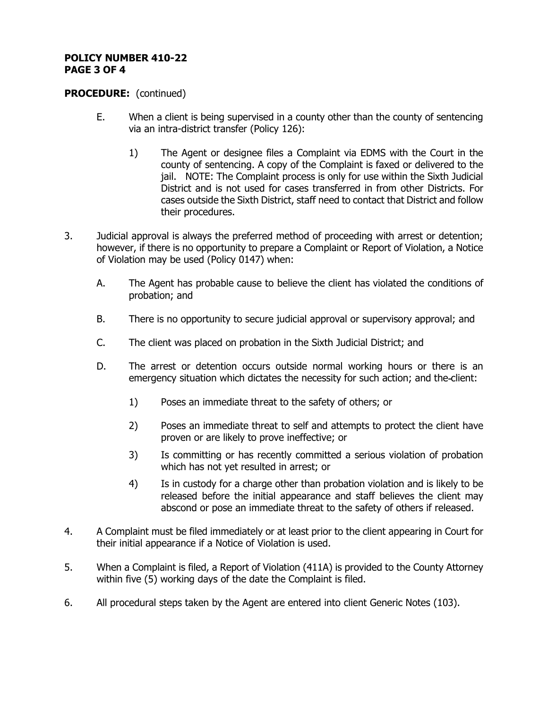### **POLICY NUMBER 410-22 PAGE 3 OF 4**

### **PROCEDURE:** (continued)

- E. When a client is being supervised in a county other than the county of sentencing via an intra-district transfer (Policy 126):
	- 1) The Agent or designee files a Complaint via EDMS with the Court in the county of sentencing. A copy of the Complaint is faxed or delivered to the jail. NOTE: The Complaint process is only for use within the Sixth Judicial District and is not used for cases transferred in from other Districts. For cases outside the Sixth District, staff need to contact that District and follow their procedures.
- 3. Judicial approval is always the preferred method of proceeding with arrest or detention; however, if there is no opportunity to prepare a Complaint or Report of Violation, a Notice of Violation may be used (Policy 0147) when:
	- A. The Agent has probable cause to believe the client has violated the conditions of probation; and
	- B. There is no opportunity to secure judicial approval or supervisory approval; and
	- C. The client was placed on probation in the Sixth Judicial District; and
	- D. The arrest or detention occurs outside normal working hours or there is an emergency situation which dictates the necessity for such action; and the client:
		- 1) Poses an immediate threat to the safety of others; or
		- 2) Poses an immediate threat to self and attempts to protect the client have proven or are likely to prove ineffective; or
		- 3) Is committing or has recently committed a serious violation of probation which has not yet resulted in arrest; or
		- 4) Is in custody for a charge other than probation violation and is likely to be released before the initial appearance and staff believes the client may abscond or pose an immediate threat to the safety of others if released.
- 4. A Complaint must be filed immediately or at least prior to the client appearing in Court for their initial appearance if a Notice of Violation is used.
- 5. When a Complaint is filed, a Report of Violation (411A) is provided to the County Attorney within five (5) working days of the date the Complaint is filed.
- 6. All procedural steps taken by the Agent are entered into client Generic Notes (103).